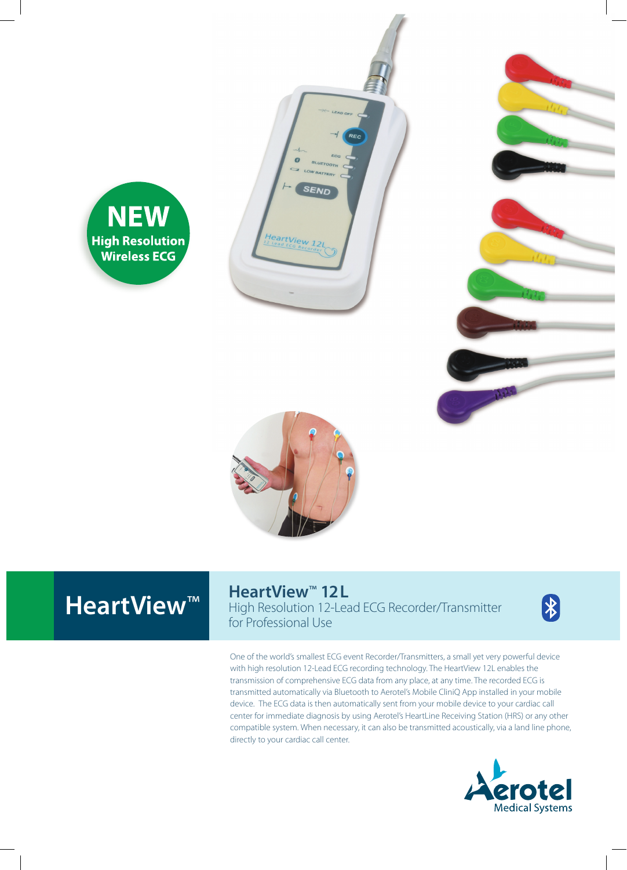







# **HeartView<sup>™</sup>**

**HeartView<sup>™</sup> 12L** High Resolution 12-Lead ECG Recorder/Transmitter for Professional Use

 $\bigtriangledown$ 

One of the world's smallest ECG event Recorder/Transmitters, a small yet very powerful device with high resolution 12-Lead ECG recording technology. The HeartView 12L enables the transmission of comprehensive ECG data from any place, at any time. The recorded ECG is transmitted automatically via Bluetooth to Aerotel's Mobile CliniQ App installed in your mobile device. The ECG data is then automatically sent from your mobile device to your cardiac call center for immediate diagnosis by using Aerotel's HeartLine Receiving Station (HRS) or any other compatible system. When necessary, it can also be transmitted acoustically, via a land line phone, directly to your cardiac call center.